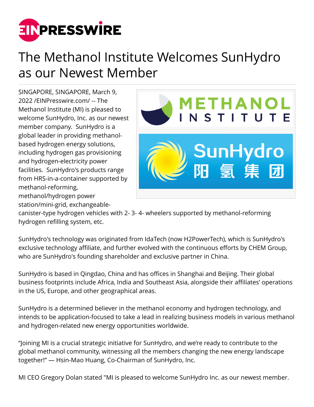

## The Methanol Institute Welcomes SunHydro as our Newest Member

SINGAPORE, SINGAPORE, March 9, 2022 /[EINPresswire.com](http://www.einpresswire.com)/ -- The Methanol Institute (MI) is pleased to welcome SunHydro, Inc. as our newest member company. SunHydro is a global leader in providing methanolbased hydrogen energy solutions, including hydrogen gas provisioning and hydrogen-electricity power facilities. SunHydro's products range from HRS-in-a-container supported by methanol-reforming, methanol/hydrogen power

station/mini-grid, exchangeable-



canister-type hydrogen vehicles with 2- 3- 4- wheelers supported by methanol-reforming hydrogen refilling system, etc.

SunHydro's technology was originated from IdaTech (now H2PowerTech), which is SunHydro's exclusive technology affiliate, and further evolved with the continuous efforts by CHEM Group, who are SunHydro's founding shareholder and exclusive partner in China.

SunHydro is based in Qingdao, China and has offices in Shanghai and Beijing. Their global business footprints include Africa, India and Southeast Asia, alongside their affiliates' operations in the US, Europe, and other geographical areas.

SunHydro is a determined believer in the methanol economy and hydrogen technology, and intends to be application-focused to take a lead in realizing business models in various methanol and hydrogen-related new energy opportunities worldwide.

"Joining MI is a crucial strategic initiative for SunHydro, and we're ready to contribute to the global methanol community, witnessing all the members changing the new energy landscape together!" — Hsin-Mao Huang, Co-Chairman of SunHydro, Inc.

MI CEO Gregory Dolan stated "MI is pleased to welcome SunHydro Inc. as our newest member.